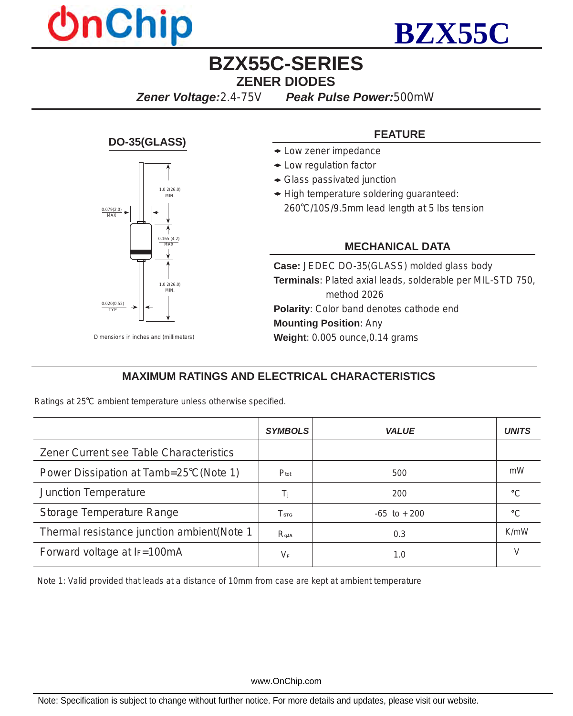



# **BZX55C-SERIES ZENER DIODES**

*Zener Voltage:2.4-75V**Peak Pulse Power:500mW*

#### **DO-35(GLASS)**



#### *Dimensions in inches and (millimeters)*

#### **FEATURE**

- Low zener impedance
- Low regulation factor
- Glass passivated junction
- High temperature soldering guaranteed:
	- 260 C/10S/9.5mm lead length at 5 lbs tension

#### **MECHANICAL DATA**

**Case:** JEDEC DO-35(GLASS) molded glass body **Terminals**: Plated axial leads, solderable per MIL-STD 750, method 2026 **Polarity**: Color band denotes cathode end **Mounting Position**: Any **Weight**: 0.005 ounce,0.14 grams

### **MAXIMUM RATINGS AND ELECTRICAL CHARACTERISTICS**

Ratings at 25°C ambient temperature unless otherwise specified.

|                                             | <b>SYMBOLS</b>             | VALUE           | UNITS   |
|---------------------------------------------|----------------------------|-----------------|---------|
| Zener Current see Table Characteristics     |                            |                 |         |
| Power Dissipation at Tamb=25°C(Note 1)      | $P_{\text{tot}}$           | 500             | mW      |
| <b>Junction Temperature</b>                 | $T_i$                      | 200             | $\sim$  |
| Storage Temperature Range                   | $\mathrm{T_{s\tau\alpha}}$ | $-65$ to $+200$ | $\circ$ |
| Thermal resistance junction ambient (Note 1 | $R_{qJA}$                  | 0.3             | K/mW    |
| Forward voltage at IF=100mA                 | $V_F$                      | 1.0             |         |

Note 1: Valid provided that leads at a distance of 10mm from case are kept at ambient temperature

www.OnChip.com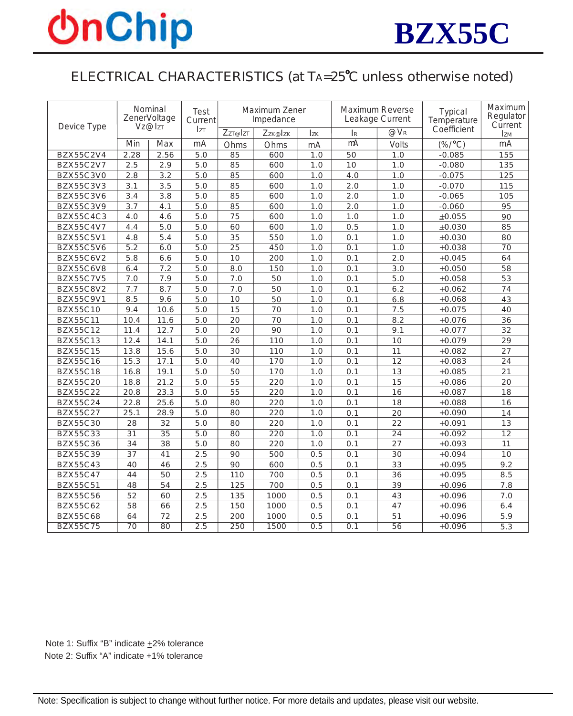# **OnChip**



# ELECTRICAL CHARACTERISTICS (at TA=25<sup>°</sup>C unless otherwise noted)

| Device Type      | Nominal<br>ZenerVoltage<br>Vz@IzT |      | Test<br>Current  | Maximum Zener<br>Impedance |         |            | <b>Maximum Reverse</b><br>Leakage Current |                 | Typical<br>Temperature | Maximum<br>Regulator<br>Current |
|------------------|-----------------------------------|------|------------------|----------------------------|---------|------------|-------------------------------------------|-----------------|------------------------|---------------------------------|
|                  |                                   |      | <b>IzT</b>       | Zzr@Izr                    | Zzk@Izk | <b>Izk</b> | IR                                        | $@V_{R}$        | Coefficient            | <b>IzM</b>                      |
|                  | Min                               | Max  | mA               | Ohms                       | Ohms    | mA         | mA                                        | <b>Volts</b>    | $(\% / °C)$            | mA                              |
| <b>BZX55C2V4</b> | 2.28                              | 2.56 | 5.0              | 85                         | 600     | 1.0        | 50                                        | 1.0             | $-0.085$               | 155                             |
| <b>BZX55C2V7</b> | 2.5                               | 2.9  | 5.0              | 85                         | 600     | 1.0        | 10                                        | 1.0             | $-0.080$               | 135                             |
| BZX55C3V0        | 2.8                               | 3.2  | 5.0              | 85                         | 600     | 1.0        | 4.0                                       | 1.0             | $-0.075$               | 125                             |
| BZX55C3V3        | 3.1                               | 3.5  | 5.0              | 85                         | 600     | 1.0        | 2.0                                       | 1.0             | $-0.070$               | 115                             |
| BZX55C3V6        | 3.4                               | 3.8  | 5.0              | 85                         | 600     | 1.0        | $2.0\,$                                   | 1.0             | $-0.065$               | 105                             |
| BZX55C3V9        | 3.7                               | 4.1  | 5.0              | 85                         | 600     | 1.0        | $2.0\,$                                   | 1.0             | $-0.060$               | 95                              |
| BZX55C4C3        | 4.0                               | 4.6  | 5.0              | 75                         | 600     | 1.0        | 1.0                                       | 1.0             | ±0.055                 | 90                              |
| BZX55C4V7        | 4.4                               | 5.0  | 5.0              | 60                         | 600     | 1.0        | 0.5                                       | 1.0             | $\pm 0.030$            | 85                              |
| BZX55C5V1        | 4.8                               | 5.4  | 5.0              | 35                         | 550     | 1.0        | 0.1                                       | 1.0             | $\pm 0.030$            | 80                              |
| <b>BZX55C5V6</b> | $\overline{5.2}$                  | 6.0  | 5.0              | $\overline{25}$            | 450     | 1.0        | 0.1                                       | 1.0             | $+0.038$               | 70                              |
| BZX55C6V2        | 5.8                               | 6.6  | 5.0              | 10                         | 200     | 1.0        | 0.1                                       | 2.0             | $+0.045$               | 64                              |
| BZX55C6V8        | 6.4                               | 7.2  | 5.0              | 8.0                        | 150     | 1.0        | 0.1                                       | 3.0             | $+0.050$               | 58                              |
| BZX55C7V5        | 7.0                               | 7.9  | 5.0              | 7.0                        | 50      | 1.0        | 0.1                                       | 5.0             | $+0.058$               | 53                              |
| <b>BZX55C8V2</b> | 7.7                               | 8.7  | 5.0              | 7.0                        | 50      | 1.0        | 0.1                                       | 6.2             | $+0.062$               | 74                              |
| BZX55C9V1        | 8.5                               | 9.6  | 5.0              | 10                         | 50      | 1.0        | 0.1                                       | 6.8             | $+0.068$               | 43                              |
| <b>BZX55C10</b>  | 9.4                               | 10.6 | 5.0              | 15                         | 70      | 1.0        | 0.1                                       | 7.5             | $+0.075$               | 40                              |
| <b>BZX55C11</b>  | 10.4                              | 11.6 | 5.0              | 20                         | 70      | 1.0        | 0.1                                       | 8.2             | $+0.076$               | 36                              |
| <b>BZX55C12</b>  | 11.4                              | 12.7 | 5.0              | 20                         | 90      | 1.0        | 0.1                                       | 9.1             | $+0.077$               | 32                              |
| <b>BZX55C13</b>  | 12.4                              | 14.1 | 5.0              | 26                         | 110     | 1.0        | 0.1                                       | 10              | $+0.079$               | 29                              |
| <b>BZX55C15</b>  | 13.8                              | 15.6 | 5.0              | 30                         | 110     | 1.0        | 0.1                                       | 11              | $+0.082$               | 27                              |
| <b>BZX55C16</b>  | 15.3                              | 17.1 | 5.0              | 40                         | 170     | 1.0        | 0.1                                       | 12              | $+0.083$               | 24                              |
| <b>BZX55C18</b>  | 16.8                              | 19.1 | 5.0              | 50                         | 170     | 1.0        | 0.1                                       | 13              | $+0.085$               | 21                              |
| <b>BZX55C20</b>  | 18.8                              | 21.2 | 5.0              | 55                         | 220     | 1.0        | 0.1                                       | 15              | $+0.086$               | 20                              |
| <b>BZX55C22</b>  | 20.8                              | 23.3 | 5.0              | 55                         | 220     | 1.0        | 0.1                                       | 16              | $+0.087$               | 18                              |
| BZX55C24         | 22.8                              | 25.6 | 5.0              | 80                         | 220     | 1.0        | 0.1                                       | 18              | $+0.088$               | 16                              |
| <b>BZX55C27</b>  | 25.1                              | 28.9 | 5.0              | 80                         | 220     | 1.0        | 0.1                                       | 20              | $+0.090$               | 14                              |
| <b>BZX55C30</b>  | 28                                | 32   | 5.0              | 80                         | 220     | 1.0        | 0.1                                       | 22              | $+0.091$               | 13                              |
| <b>BZX55C33</b>  | $\overline{31}$                   | 35   | 5.0              | 80                         | 220     | 1.0        | 0.1                                       | 24              | $+0.092$               | $\overline{12}$                 |
| <b>BZX55C36</b>  | 34                                | 38   | 5.0              | 80                         | 220     | 1.0        | 0.1                                       | 27              | $+0.093$               | 11                              |
| <b>BZX55C39</b>  | 37                                | 41   | 2.5              | 90                         | 500     | 0.5        | 0.1                                       | 30              | $+0.094$               | 10                              |
| <b>BZX55C43</b>  | 40                                | 46   | 2.5              | 90                         | 600     | 0.5        | 0.1                                       | 33              | $+0.095$               | 9.2                             |
| <b>BZX55C47</b>  | 44                                | 50   | 2.5              | 110                        | 700     | 0.5        | 0.1                                       | 36              | $+0.095$               | 8.5                             |
| <b>BZX55C51</b>  | 48                                | 54   | 2.5              | 125                        | 700     | 0.5        | 0.1                                       | 39              | $+0.096$               | 7.8                             |
| <b>BZX55C56</b>  | 52                                | 60   | 2.5              | 135                        | 1000    | 0.5        | 0.1                                       | 43              | $+0.096$               | 7.0                             |
| <b>BZX55C62</b>  | 58                                | 66   | 2.5              | 150                        | 1000    | 0.5        | 0.1                                       | 47              | $+0.096$               | 6.4                             |
| <b>BZX55C68</b>  | 64                                | 72   | 2.5              | 200                        | 1000    | 0.5        | 0.1                                       | 51              | $+0.096$               | 5.9                             |
| <b>BZX55C75</b>  | $\overline{70}$                   | 80   | $\overline{2.5}$ | 250                        | 1500    | 0.5        | $\overline{0.1}$                          | $\overline{56}$ | $+0.096$               | 5.3                             |

Note 1: Suffix "B" indicate +2% tolerance Note 2: Suffix "A" indicate +1% tolerance